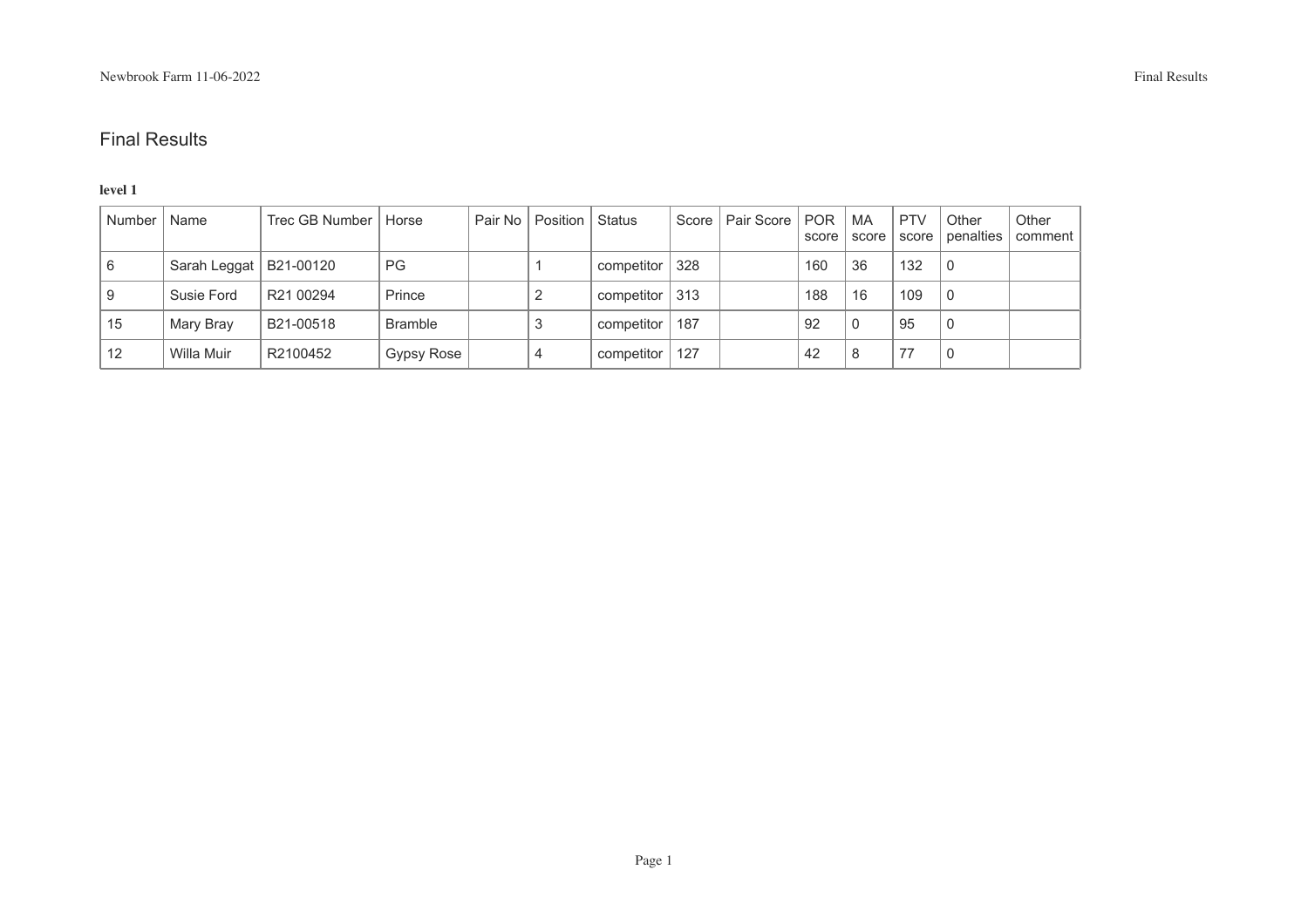### **level 1**

| Number | Name                     | Trec GB Number | Horse          | Pair No   Position   Status |            | Score | Pair Score   POR | score | MA<br>score | <b>PTV</b><br>score | Other<br>penalties | Other<br>comment |
|--------|--------------------------|----------------|----------------|-----------------------------|------------|-------|------------------|-------|-------------|---------------------|--------------------|------------------|
| 6      | Sarah Leggat   B21-00120 |                | <b>PG</b>      |                             | competitor | 328   |                  | 160   | 36          | 132                 | 0                  |                  |
| 9      | Susie Ford               | R21 00294      | Prince         |                             | competitor | 313   |                  | 188   | 16          | 109                 | 0                  |                  |
| 15     | Mary Bray                | B21-00518      | <b>Bramble</b> |                             | competitor | 187   |                  | 92    |             | 95                  | $\Omega$           |                  |
| 12     | Willa Muir               | R2100452       | Gypsy Rose     | 4                           | competitor | 127   |                  | 42    | 8           | 77                  |                    |                  |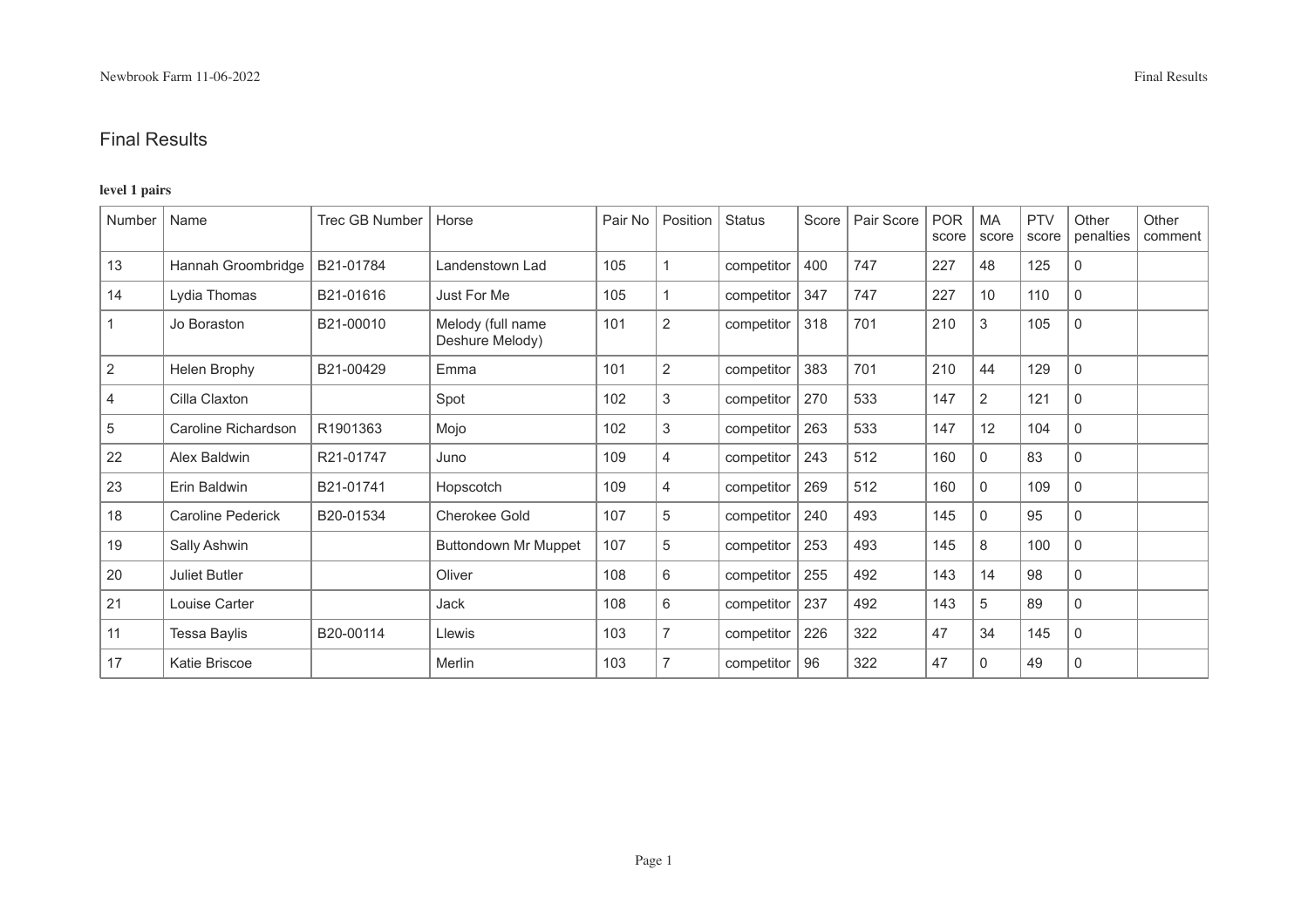### **level 1 pairs**

| Number      | Name                     | <b>Trec GB Number</b> | Horse                                | Pair No | Position | <b>Status</b> | Score | Pair Score | <b>POR</b><br>score | <b>MA</b><br>score | <b>PTV</b><br>score | Other<br>penalties | Other<br>comment |
|-------------|--------------------------|-----------------------|--------------------------------------|---------|----------|---------------|-------|------------|---------------------|--------------------|---------------------|--------------------|------------------|
| 13          | Hannah Groombridge       | B21-01784             | Landenstown Lad                      | 105     |          | competitor    | 400   | 747        | 227                 | 48                 | 125                 | 0                  |                  |
| 14          | Lydia Thomas             | B21-01616             | Just For Me                          | 105     |          | competitor    | 347   | 747        | 227                 | 10                 | 110                 | $\mathbf 0$        |                  |
| $\mathbf 1$ | Jo Boraston              | B21-00010             | Melody (full name<br>Deshure Melody) | 101     | 2        | competitor    | 318   | 701        | 210                 | 3                  | 105                 | $\mathbf 0$        |                  |
| 2           | Helen Brophy             | B21-00429             | Emma                                 | 101     | 2        | competitor    | 383   | 701        | 210                 | 44                 | 129                 | $\mathbf 0$        |                  |
| 4           | Cilla Claxton            |                       | Spot                                 | 102     | 3        | competitor    | 270   | 533        | 147                 | $\overline{2}$     | 121                 | $\mathbf 0$        |                  |
| 5           | Caroline Richardson      | R1901363              | Mojo                                 | 102     | 3        | competitor    | 263   | 533        | 147                 | 12                 | 104                 | $\mathbf 0$        |                  |
| 22          | Alex Baldwin             | R21-01747             | Juno                                 | 109     | 4        | competitor    | 243   | 512        | 160                 | $\mathbf 0$        | 83                  | 0                  |                  |
| 23          | Erin Baldwin             | B21-01741             | Hopscotch                            | 109     | 4        | competitor    | 269   | 512        | 160                 | $\mathbf 0$        | 109                 | $\mathbf 0$        |                  |
| 18          | <b>Caroline Pederick</b> | B20-01534             | Cherokee Gold                        | 107     | 5        | competitor    | 240   | 493        | 145                 | $\mathbf 0$        | 95                  | 0                  |                  |
| 19          | Sally Ashwin             |                       | <b>Buttondown Mr Muppet</b>          | 107     | 5        | competitor    | 253   | 493        | 145                 | 8                  | 100                 | $\mathbf 0$        |                  |
| 20          | Juliet Butler            |                       | Oliver                               | 108     | 6        | competitor    | 255   | 492        | 143                 | 14                 | 98                  | 0                  |                  |
| 21          | Louise Carter            |                       | Jack                                 | 108     | 6        | competitor    | 237   | 492        | 143                 | 5                  | 89                  | 0                  |                  |
| 11          | <b>Tessa Baylis</b>      | B20-00114             | Llewis                               | 103     | 7        | competitor    | 226   | 322        | 47                  | 34                 | 145                 | 0                  |                  |
| 17          | Katie Briscoe            |                       | Merlin                               | 103     | 7        | competitor    | 96    | 322        | 47                  | 0                  | 49                  | 0                  |                  |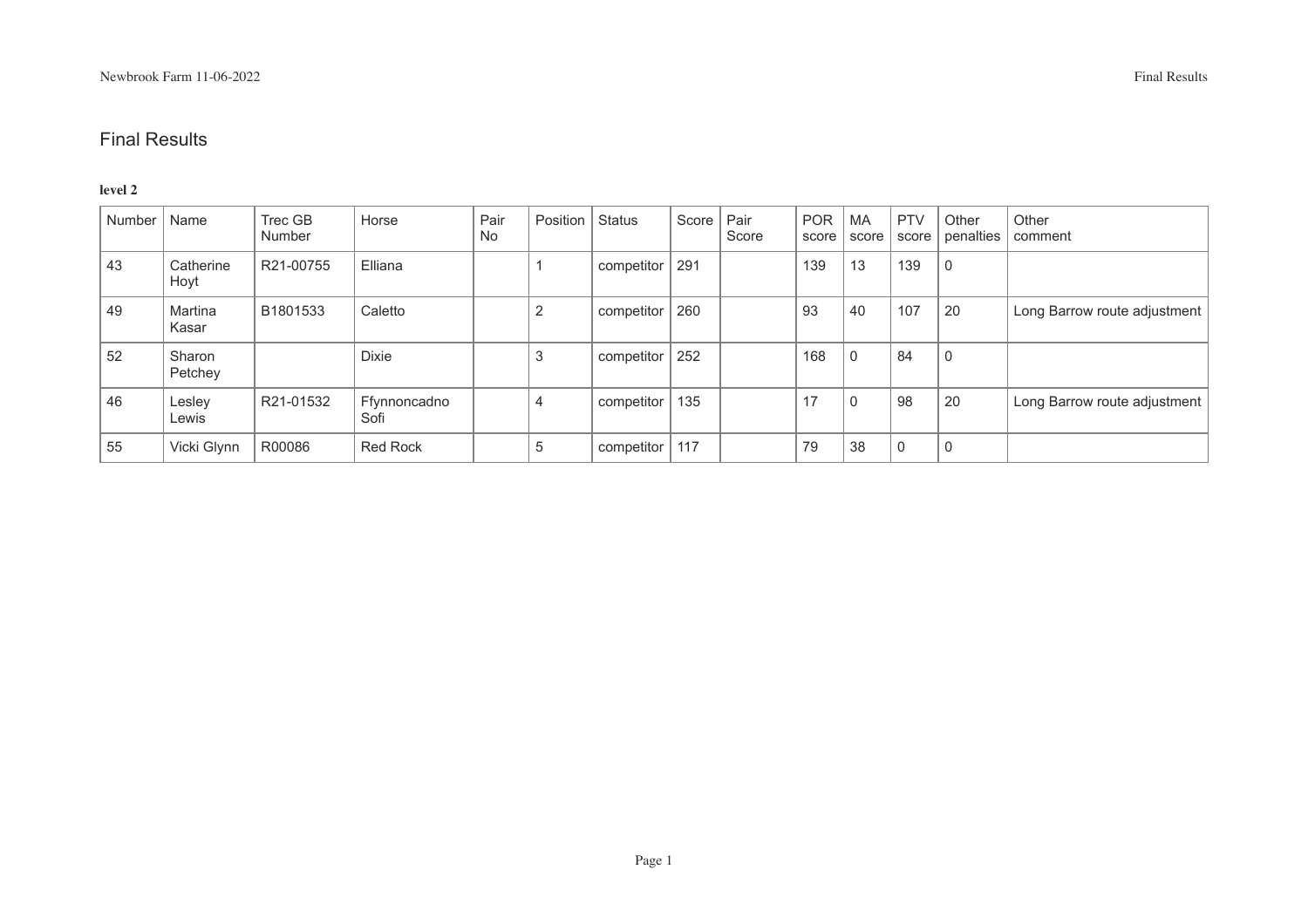#### **level 2**

| Number | Name              | Trec GB<br><b>Number</b> | Horse                | Pair<br>No | Position       | Status     | Score | Pair<br>Score | <b>POR</b><br>score | <b>MA</b><br>score | <b>PTV</b><br>score | Other<br>penalties | Other<br>comment             |
|--------|-------------------|--------------------------|----------------------|------------|----------------|------------|-------|---------------|---------------------|--------------------|---------------------|--------------------|------------------------------|
| 43     | Catherine<br>Hoyt | R21-00755                | Elliana              |            |                | competitor | 291   |               | 139                 | 13                 | 139                 | 0                  |                              |
| 49     | Martina<br>Kasar  | B1801533                 | Caletto              |            | $\overline{2}$ | competitor | 260   |               | 93                  | 40                 | 107                 | 20                 | Long Barrow route adjustment |
| 52     | Sharon<br>Petchey |                          | <b>Dixie</b>         |            | 3              | competitor | 252   |               | 168                 | $\mathbf{0}$       | 84                  | 0                  |                              |
| 46     | Lesley<br>Lewis   | R21-01532                | Ffynnoncadno<br>Sofi |            | $\overline{4}$ | competitor | 135   |               | 17                  | 0                  | 98                  | 20                 | Long Barrow route adjustment |
| 55     | Vicki Glynn       | R00086                   | <b>Red Rock</b>      |            | 5              | competitor | 117   |               | 79                  | 38                 | $\Omega$            | $\mathbf 0$        |                              |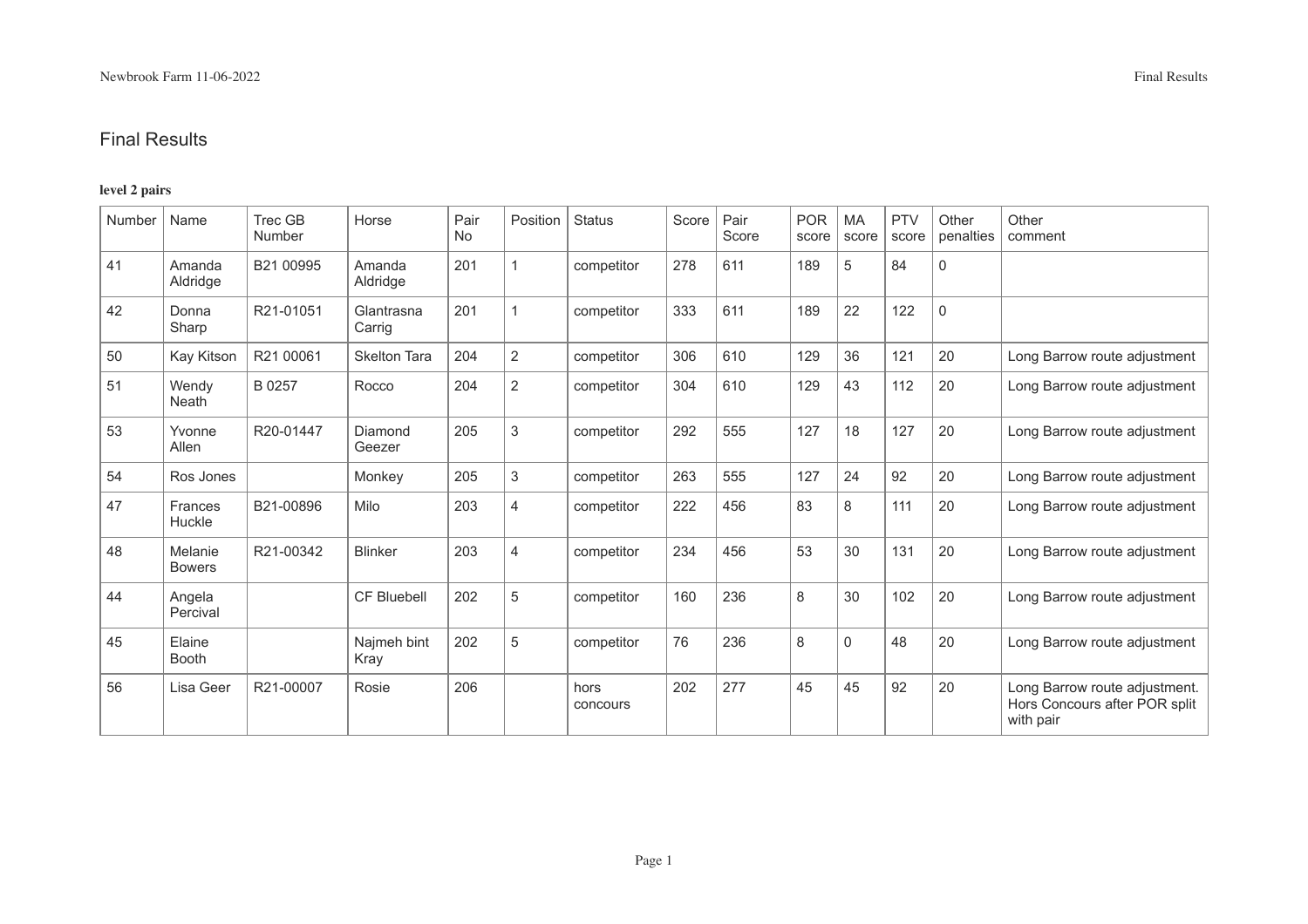### **level 2 pairs**

| Number | Name                     | <b>Trec GB</b><br>Number | Horse                | Pair<br>No | Position       | <b>Status</b>    | Score   Pair | Score | <b>POR</b><br>score | MA<br>score | <b>PTV</b><br>score | Other<br>penalties | Other<br>comment                                                            |
|--------|--------------------------|--------------------------|----------------------|------------|----------------|------------------|--------------|-------|---------------------|-------------|---------------------|--------------------|-----------------------------------------------------------------------------|
| 41     | Amanda<br>Aldridge       | B21 00995                | Amanda<br>Aldridge   | 201        |                | competitor       | 278          | 611   | 189                 | 5           | 84                  | $\mathbf 0$        |                                                                             |
| 42     | Donna<br>Sharp           | R21-01051                | Glantrasna<br>Carrig | 201        |                | competitor       | 333          | 611   | 189                 | 22          | 122                 | $\mathbf 0$        |                                                                             |
| 50     | Kay Kitson               | R21 00061                | <b>Skelton Tara</b>  | 204        | 2              | competitor       | 306          | 610   | 129                 | 36          | 121                 | 20                 | Long Barrow route adjustment                                                |
| 51     | Wendy<br><b>Neath</b>    | B 0257                   | Rocco                | 204        | $\overline{2}$ | competitor       | 304          | 610   | 129                 | 43          | 112                 | 20                 | Long Barrow route adjustment                                                |
| 53     | Yvonne<br>Allen          | R20-01447                | Diamond<br>Geezer    | 205        | $\mathfrak{S}$ | competitor       | 292          | 555   | 127                 | 18          | 127                 | 20                 | Long Barrow route adjustment                                                |
| 54     | Ros Jones                |                          | Monkey               | 205        | $\mathbf{3}$   | competitor       | 263          | 555   | 127                 | 24          | 92                  | 20                 | Long Barrow route adjustment                                                |
| 47     | Frances<br>Huckle        | B21-00896                | Milo                 | 203        | $\overline{4}$ | competitor       | 222          | 456   | 83                  | 8           | 111                 | 20                 | Long Barrow route adjustment                                                |
| 48     | Melanie<br><b>Bowers</b> | R21-00342                | <b>Blinker</b>       | 203        | $\overline{4}$ | competitor       | 234          | 456   | 53                  | 30          | 131                 | 20                 | Long Barrow route adjustment                                                |
| 44     | Angela<br>Percival       |                          | <b>CF Bluebell</b>   | 202        | 5              | competitor       | 160          | 236   | 8                   | 30          | 102                 | 20                 | Long Barrow route adjustment                                                |
| 45     | Elaine<br>Booth          |                          | Najmeh bint<br>Kray  | 202        | 5              | competitor       | 76           | 236   | 8                   | $\mathbf 0$ | 48                  | 20                 | Long Barrow route adjustment                                                |
| 56     | Lisa Geer                | R21-00007                | Rosie                | 206        |                | hors<br>concours | 202          | 277   | 45                  | 45          | 92                  | 20                 | Long Barrow route adjustment.<br>Hors Concours after POR split<br>with pair |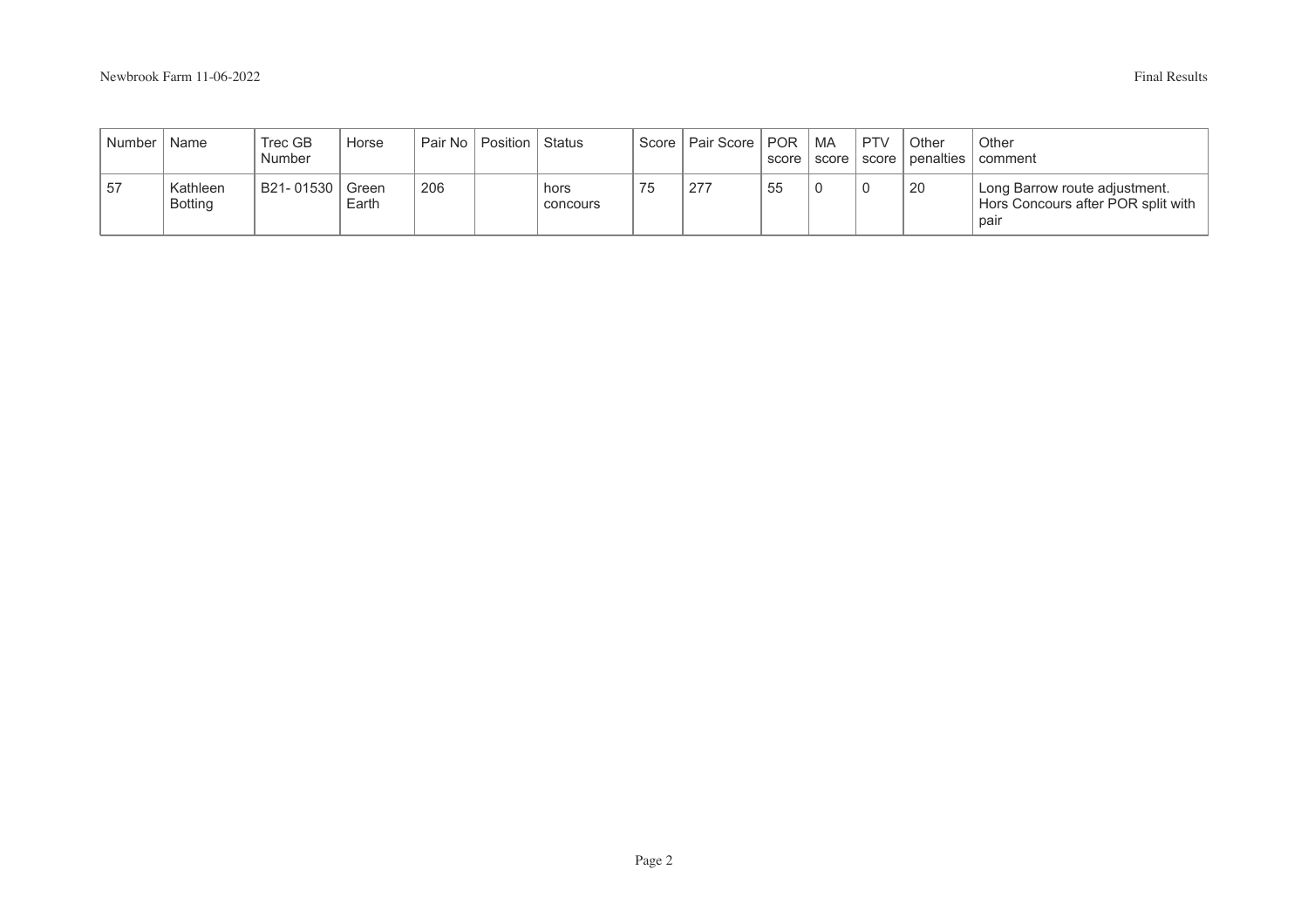| Number | Name                       | Trec GB<br>Number | Horse          |     | Pair No   Position | Status           | Score | Pair Score   POR  | score | ' MA<br>' score | <b>PTV</b><br>score | Other | Other<br>penalties   comment                                                |
|--------|----------------------------|-------------------|----------------|-----|--------------------|------------------|-------|-------------------|-------|-----------------|---------------------|-------|-----------------------------------------------------------------------------|
| 57     | Kathleen<br><b>Botting</b> | B21-01530         | Green<br>Earth | 206 |                    | hors<br>concours | 75    | 277<br>$\epsilon$ | 55    |                 |                     | 20    | Long Barrow route adjustment.<br>Hors Concours after POR split with<br>pair |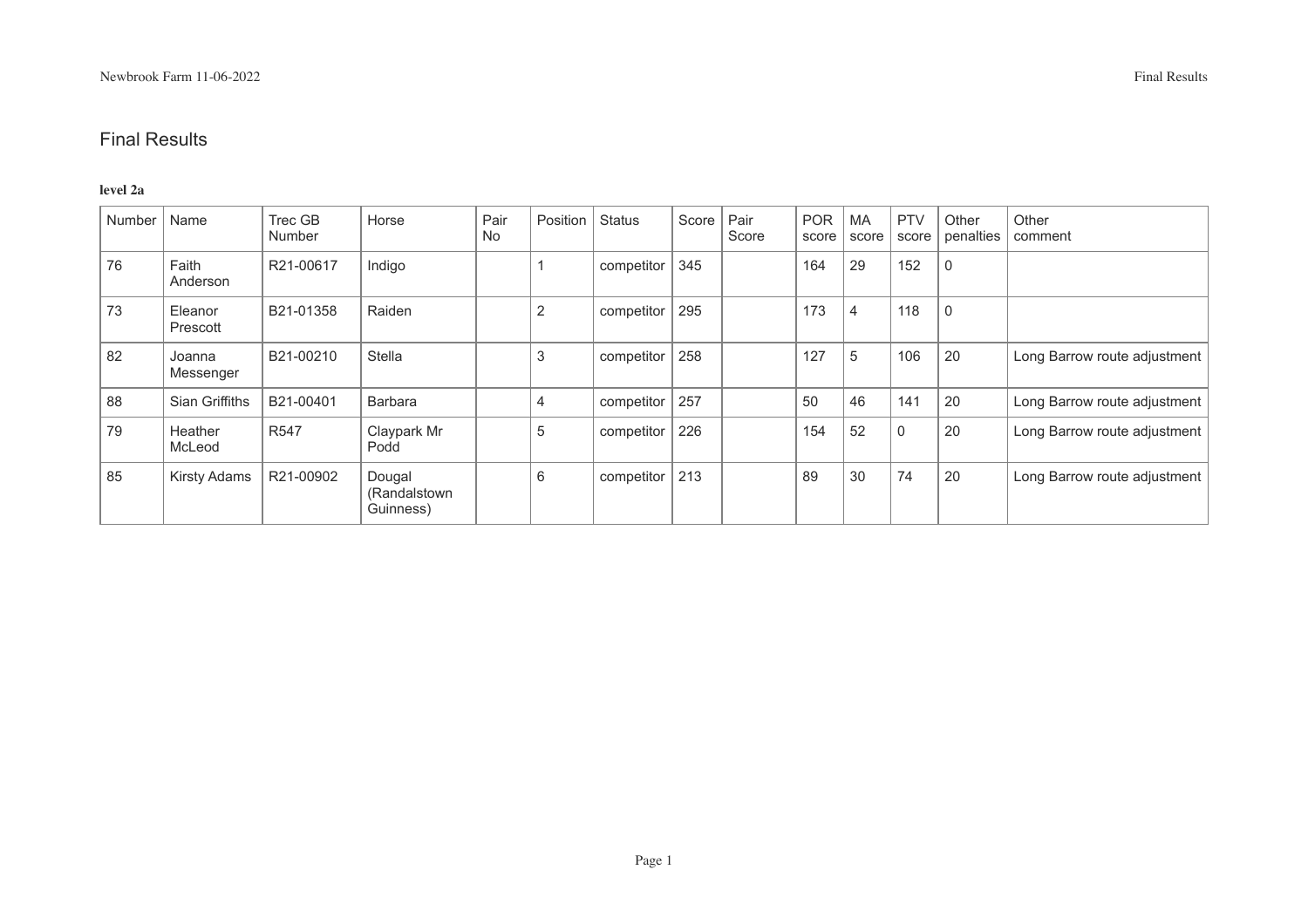#### **level 2a**

| Number | Name                | Trec GB<br>Number | Horse                                | Pair<br><b>No</b> | Position | <b>Status</b> | Score | Pair<br>Score | <b>POR</b><br>score | <b>MA</b><br>score | <b>PTV</b><br>score | Other<br>penalties | Other<br>comment             |
|--------|---------------------|-------------------|--------------------------------------|-------------------|----------|---------------|-------|---------------|---------------------|--------------------|---------------------|--------------------|------------------------------|
| 76     | Faith<br>Anderson   | R21-00617         | Indigo                               |                   |          | competitor    | 345   |               | 164                 | 29                 | 152                 | 0                  |                              |
| 73     | Eleanor<br>Prescott | B21-01358         | Raiden                               |                   | 2        | competitor    | 295   |               | 173                 | 4                  | 118                 | $\mathbf 0$        |                              |
| 82     | Joanna<br>Messenger | B21-00210         | Stella                               |                   | 3        | competitor    | 258   |               | 127                 | 5                  | 106                 | 20                 | Long Barrow route adjustment |
| 88     | Sian Griffiths      | B21-00401         | <b>Barbara</b>                       |                   | 4        | competitor    | 257   |               | 50                  | 46                 | 141                 | 20                 | Long Barrow route adjustment |
| 79     | Heather<br>McLeod   | R <sub>547</sub>  | Claypark Mr<br>Podd                  |                   | 5        | competitor    | 226   |               | 154                 | 52                 | $\Omega$            | 20                 | Long Barrow route adjustment |
| 85     | <b>Kirsty Adams</b> | R21-00902         | Dougal<br>(Randalstown)<br>Guinness) |                   | 6        | competitor    | 213   |               | 89                  | 30                 | 74                  | 20                 | Long Barrow route adjustment |